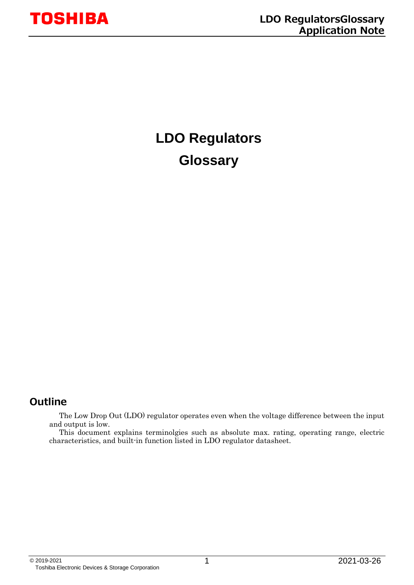## **LDO Regulators Glossary**

#### <span id="page-0-0"></span>**Outline**

The Low Drop Out (LDO) regulator operates even when the voltage difference between the input and output is low.

This document explains terminolgies such as absolute max. rating, operating range, electric characteristics, and built-in function listed in LDO regulator datasheet.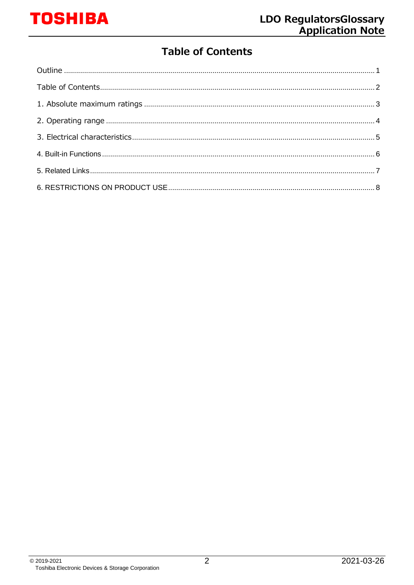### **Table of Contents**

<span id="page-1-0"></span>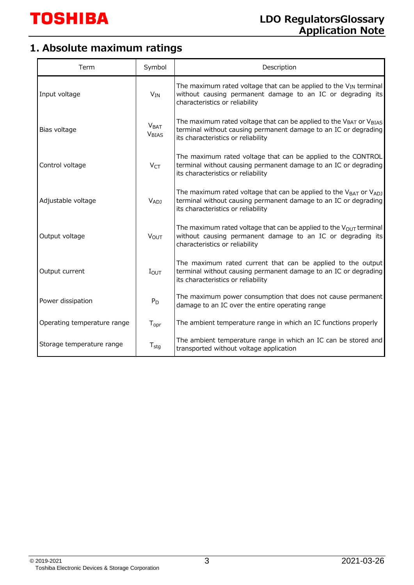## <span id="page-2-0"></span>**1. Absolute maximum ratings**

| Term                        | Symbol                                      | Description                                                                                                                                                                          |
|-----------------------------|---------------------------------------------|--------------------------------------------------------------------------------------------------------------------------------------------------------------------------------------|
| Input voltage               | $V_{IN}$                                    | The maximum rated voltage that can be applied to the V <sub>IN</sub> terminal<br>without causing permanent damage to an IC or degrading its<br>characteristics or reliability        |
| Bias voltage                | V <sub>BAT</sub><br><b>V<sub>BIAS</sub></b> | The maximum rated voltage that can be applied to the VBAT or VBIAS<br>terminal without causing permanent damage to an IC or degrading<br>its characteristics or reliability          |
| Control voltage             | V <sub>CT</sub>                             | The maximum rated voltage that can be applied to the CONTROL<br>terminal without causing permanent damage to an IC or degrading<br>its characteristics or reliability                |
| Adjustable voltage          | V <sub>ADJ</sub>                            | The maximum rated voltage that can be applied to the $V_{BAT}$ or $V_{ADJ}$<br>terminal without causing permanent damage to an IC or degrading<br>its characteristics or reliability |
| Output voltage              | <b>VOUT</b>                                 | The maximum rated voltage that can be applied to the $V_{OUT}$ terminal<br>without causing permanent damage to an IC or degrading its<br>characteristics or reliability              |
| Output current              | $I_{\text{OUT}}$                            | The maximum rated current that can be applied to the output<br>terminal without causing permanent damage to an IC or degrading<br>its characteristics or reliability                 |
| Power dissipation           | $P_D$                                       | The maximum power consumption that does not cause permanent<br>damage to an IC over the entire operating range                                                                       |
| Operating temperature range | $T_{\text{opr}}$                            | The ambient temperature range in which an IC functions properly                                                                                                                      |
| Storage temperature range   | $T_{\text{stg}}$                            | The ambient temperature range in which an IC can be stored and<br>transported without voltage application                                                                            |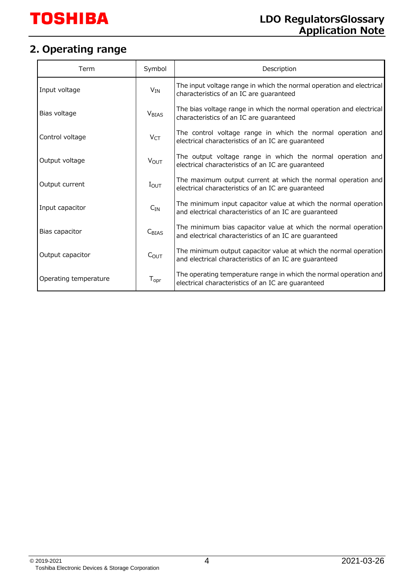#### <span id="page-3-0"></span>**2. Operating range**

| Term                  | Symbol                       | Description                                                                                                                |
|-----------------------|------------------------------|----------------------------------------------------------------------------------------------------------------------------|
| Input voltage         | $V_{IN}$                     | The input voltage range in which the normal operation and electrical<br>characteristics of an IC are guaranteed            |
| Bias voltage          | <b>V<sub>BIAS</sub></b>      | The bias voltage range in which the normal operation and electrical<br>characteristics of an IC are guaranteed             |
| Control voltage       | V <sub>CT</sub>              | The control voltage range in which the normal operation and<br>electrical characteristics of an IC are guaranteed          |
| Output voltage        | <b>VOUT</b>                  | The output voltage range in which the normal operation and<br>electrical characteristics of an IC are guaranteed           |
| Output current        | $I_{\text{OUT}}$             | The maximum output current at which the normal operation and<br>electrical characteristics of an IC are guaranteed         |
| Input capacitor       | $C_{IN}$                     | The minimum input capacitor value at which the normal operation<br>and electrical characteristics of an IC are guaranteed  |
| Bias capacitor        | C <sub>BIAS</sub>            | The minimum bias capacitor value at which the normal operation<br>and electrical characteristics of an IC are guaranteed   |
| Output capacitor      | $C_{OUT}$                    | The minimum output capacitor value at which the normal operation<br>and electrical characteristics of an IC are guaranteed |
| Operating temperature | ${\mathsf T}_{\textsf{opr}}$ | The operating temperature range in which the normal operation and<br>electrical characteristics of an IC are guaranteed    |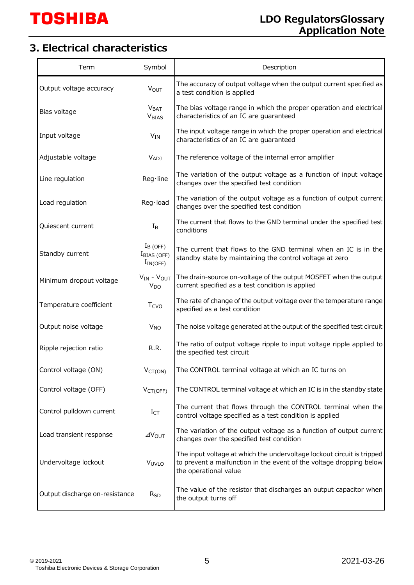## <span id="page-4-0"></span>**3. Electrical characteristics**

| Term                           | Symbol                                        | Description                                                                                                                                                            |
|--------------------------------|-----------------------------------------------|------------------------------------------------------------------------------------------------------------------------------------------------------------------------|
| Output voltage accuracy        | <b>VOUT</b>                                   | The accuracy of output voltage when the output current specified as<br>a test condition is applied                                                                     |
| Bias voltage                   | <b>VBAT</b><br><b>V<sub>BIAS</sub></b>        | The bias voltage range in which the proper operation and electrical<br>characteristics of an IC are guaranteed                                                         |
| Input voltage                  | $V_{IN}$                                      | The input voltage range in which the proper operation and electrical<br>characteristics of an IC are guaranteed                                                        |
| Adjustable voltage             | V <sub>ADJ</sub>                              | The reference voltage of the internal error amplifier                                                                                                                  |
| Line regulation                | Reg·line                                      | The variation of the output voltage as a function of input voltage<br>changes over the specified test condition                                                        |
| Load regulation                | Reg·load                                      | The variation of the output voltage as a function of output current<br>changes over the specified test condition                                                       |
| Quiescent current              | $I_{\mathsf{B}}$                              | The current that flows to the GND terminal under the specified test<br>conditions                                                                                      |
| Standby current                | $I_B$ (OFF)<br>$IBIAS$ (OFF)<br>$I_{IN(OFF)}$ | The current that flows to the GND terminal when an IC is in the<br>standby state by maintaining the control voltage at zero                                            |
| Minimum dropout voltage        | $V_{IN}$ - $V_{OUT}$<br>V <sub>DO</sub>       | The drain-source on-voltage of the output MOSFET when the output<br>current specified as a test condition is applied                                                   |
| Temperature coefficient        | T <sub>CVO</sub>                              | The rate of change of the output voltage over the temperature range<br>specified as a test condition                                                                   |
| Output noise voltage           | <b>V<sub>NO</sub></b>                         | The noise voltage generated at the output of the specified test circuit                                                                                                |
| Ripple rejection ratio         | R.R.                                          | The ratio of output voltage ripple to input voltage ripple applied to<br>the specified test circuit                                                                    |
| Control voltage (ON)           | $V_{CT(ON)}$                                  | The CONTROL terminal voltage at which an IC turns on                                                                                                                   |
| Control voltage (OFF)          | V <sub>CT(OFF)</sub>                          | The CONTROL terminal voltage at which an IC is in the standby state                                                                                                    |
| Control pulldown current       | $I_{CT}$                                      | The current that flows through the CONTROL terminal when the<br>control voltage specified as a test condition is applied                                               |
| Load transient response        | $\Delta V_{\text{OUT}}$                       | The variation of the output voltage as a function of output current<br>changes over the specified test condition                                                       |
| Undervoltage lockout           | V <sub>UVLO</sub>                             | The input voltage at which the undervoltage lockout circuit is tripped<br>to prevent a malfunction in the event of the voltage dropping below<br>the operational value |
| Output discharge on-resistance | $R_{SD}$                                      | The value of the resistor that discharges an output capacitor when<br>the output turns off                                                                             |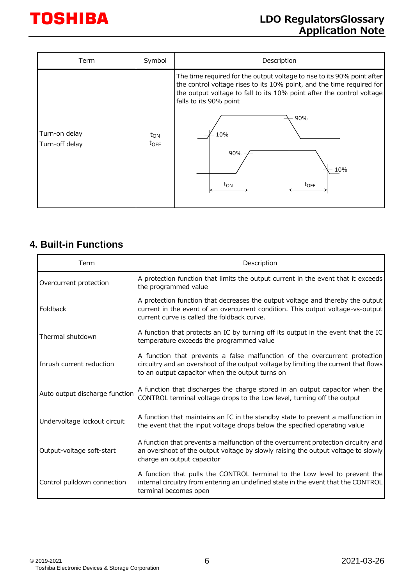| Term                            | Symbol                       | Description                                                                                                                                                                                                                                                                                                     |
|---------------------------------|------------------------------|-----------------------------------------------------------------------------------------------------------------------------------------------------------------------------------------------------------------------------------------------------------------------------------------------------------------|
| Turn-on delay<br>Turn-off delay | $t_{ON}$<br>$t_{\text{OFF}}$ | The time required for the output voltage to rise to its 90% point after<br>the control voltage rises to its 10% point, and the time required for<br>the output voltage to fall to its 10% point after the control voltage<br>falls to its 90% point<br>90%<br>10%<br>90%<br>10%<br>t <sub>ON</sub><br>$t_{OFF}$ |

#### <span id="page-5-0"></span>**4. Built-in Functions**

| Term                           | Description                                                                                                                                                                                                          |
|--------------------------------|----------------------------------------------------------------------------------------------------------------------------------------------------------------------------------------------------------------------|
| Overcurrent protection         | A protection function that limits the output current in the event that it exceeds<br>the programmed value                                                                                                            |
| Foldback                       | A protection function that decreases the output voltage and thereby the output<br>current in the event of an overcurrent condition. This output voltage-vs-output<br>current curve is called the foldback curve.     |
| Thermal shutdown               | A function that protects an IC by turning off its output in the event that the IC<br>temperature exceeds the programmed value                                                                                        |
| Inrush current reduction       | A function that prevents a false malfunction of the overcurrent protection<br>circuitry and an overshoot of the output voltage by limiting the current that flows<br>to an output capacitor when the output turns on |
| Auto output discharge function | A function that discharges the charge stored in an output capacitor when the<br>CONTROL terminal voltage drops to the Low level, turning off the output                                                              |
| Undervoltage lockout circuit   | A function that maintains an IC in the standby state to prevent a malfunction in<br>the event that the input voltage drops below the specified operating value                                                       |
| Output-voltage soft-start      | A function that prevents a malfunction of the overcurrent protection circuitry and<br>an overshoot of the output voltage by slowly raising the output voltage to slowly<br>charge an output capacitor                |
| Control pulldown connection    | A function that pulls the CONTROL terminal to the Low level to prevent the<br>internal circuitry from entering an undefined state in the event that the CONTROL<br>terminal becomes open                             |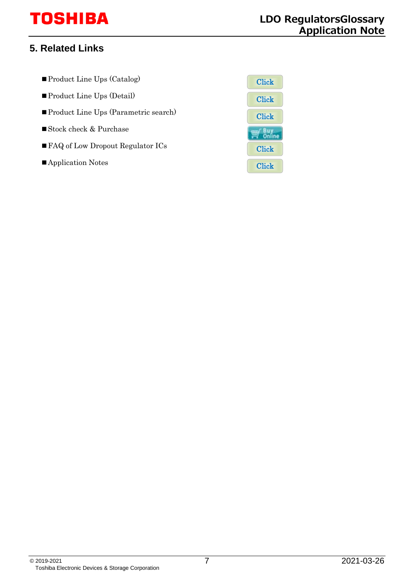# **TOSHIBA**

#### <span id="page-6-0"></span>**5. Related Links**

- ■Product Line Ups (Catalog)
- ■Product Line Ups (Detail)
- Product Line Ups (Parametric search)
- Stock check & Purchase
- FAQ of Low Dropout Regulator ICs
- ■Application Notes

| Click         |
|---------------|
| Click         |
| <b>Click</b>  |
| 6 U<br>Online |
| <b>Click</b>  |
| ${\rm Click}$ |